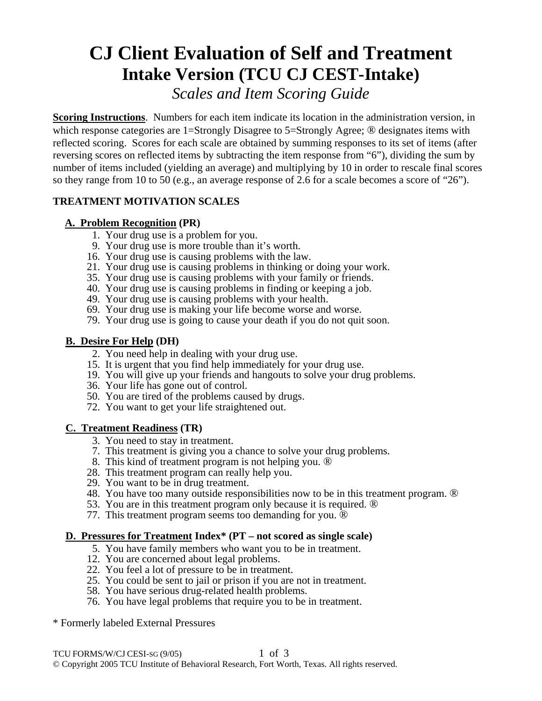# **CJ Client Evaluation of Self and Treatment Intake Version (TCU CJ CEST-Intake)**  *Scales and Item Scoring Guide*

**Scoring Instructions**. Numbers for each item indicate its location in the administration version, in which response categories are 1=Strongly Disagree to 5=Strongly Agree; <sup>®</sup> designates items with reflected scoring. Scores for each scale are obtained by summing responses to its set of items (after reversing scores on reflected items by subtracting the item response from "6"), dividing the sum by number of items included (yielding an average) and multiplying by 10 in order to rescale final scores so they range from 10 to 50 (e.g., an average response of 2.6 for a scale becomes a score of "26").

# **TREATMENT MOTIVATION SCALES**

# **A. Problem Recognition (PR)**

- 1. Your drug use is a problem for you.
- 9. Your drug use is more trouble than it's worth.
- 16. Your drug use is causing problems with the law.
- 21. Your drug use is causing problems in thinking or doing your work.
- 35. Your drug use is causing problems with your family or friends.
- 40. Your drug use is causing problems in finding or keeping a job.
- 49. Your drug use is causing problems with your health.
- 69. Your drug use is making your life become worse and worse.
- 79. Your drug use is going to cause your death if you do not quit soon.

# **B. Desire For Help (DH)**

- 2. You need help in dealing with your drug use.
- 15. It is urgent that you find help immediately for your drug use.
- 19. You will give up your friends and hangouts to solve your drug problems.
- 36. Your life has gone out of control.
- 50. You are tired of the problems caused by drugs.
- 72. You want to get your life straightened out.

# **C. Treatment Readiness (TR)**

- 3. You need to stay in treatment.
- 7. This treatment is giving you a chance to solve your drug problems.
- 8. This kind of treatment program is not helping you. ®
- 28. This treatment program can really help you.
- 29. You want to be in drug treatment.
- 48. You have too many outside responsibilities now to be in this treatment program. ®
- 53. You are in this treatment program only because it is required. ®
- 77. This treatment program seems too demanding for you. ®

# **D. Pressures for Treatment Index\* (PT – not scored as single scale)**

- 5. You have family members who want you to be in treatment.
- 12. You are concerned about legal problems.
- 22. You feel a lot of pressure to be in treatment.
- 25. You could be sent to jail or prison if you are not in treatment.
- 58. You have serious drug-related health problems.
- 76. You have legal problems that require you to be in treatment.
- \* Formerly labeled External Pressures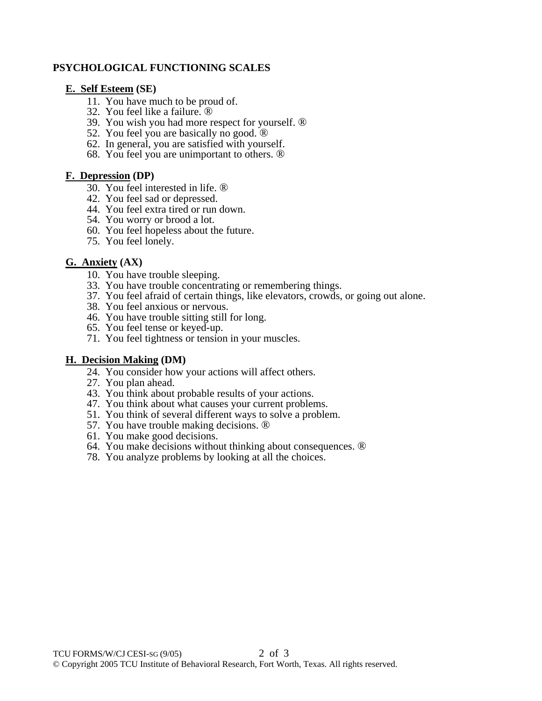### **PSYCHOLOGICAL FUNCTIONING SCALES**

#### **E. Self Esteem (SE)**

- 11. You have much to be proud of.
- 32. You feel like a failure. ®
- 39. You wish you had more respect for yourself. ®
- 52. You feel you are basically no good.  $\circledR$
- 62. In general, you are satisfied with yourself.
- 68. You feel you are unimportant to others. ®

#### **F. Depression (DP)**

- 30. You feel interested in life. ®
- 42. You feel sad or depressed.
- 44. You feel extra tired or run down.
- 54. You worry or brood a lot.
- 60. You feel hopeless about the future.
- 75. You feel lonely.

#### **G. Anxiety (AX)**

- 10. You have trouble sleeping.
- 33. You have trouble concentrating or remembering things.
- 37. You feel afraid of certain things, like elevators, crowds, or going out alone.
- 38. You feel anxious or nervous.
- 46. You have trouble sitting still for long.
- 65. You feel tense or keyed-up.
- 71. You feel tightness or tension in your muscles.

#### **H. Decision Making (DM)**

- 24. You consider how your actions will affect others.
- 27. You plan ahead.
- 43. You think about probable results of your actions.
- 47. You think about what causes your current problems.
- 51. You think of several different ways to solve a problem.
- 57. You have trouble making decisions. ®
- 61. You make good decisions.
- 64. You make decisions without thinking about consequences. ®
- 78. You analyze problems by looking at all the choices.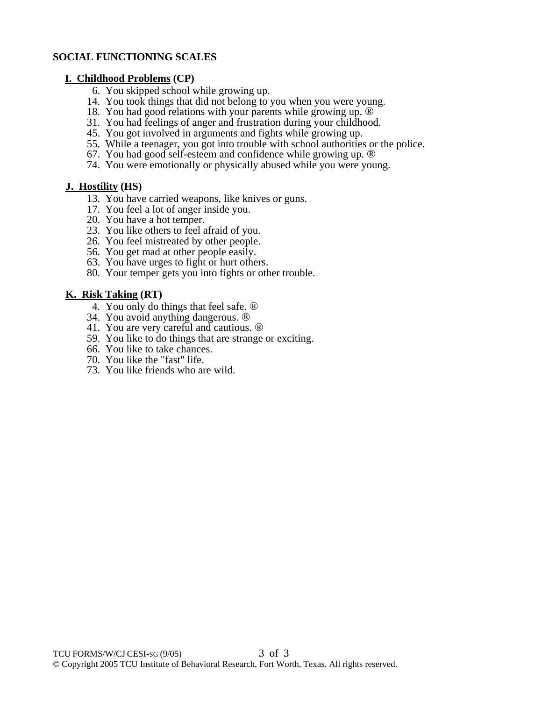## **SOCIAL FUNCTIONING SCALES**

#### **I. Childhood Problems (CP)**

- 6. You skipped school while growing up.
- 14. You took things that did not belong to you when you were young.
- 18. You had good relations with your parents while growing up. ®
- 31. You had feelings of anger and frustration during your childhood.
- 45. You got involved in arguments and fights while growing up.
- 55. While a teenager, you got into trouble with school authorities or the police.
- 67. You had good self-esteem and confidence while growing up. ®
- 74. You were emotionally or physically abused while you were young.

## **J. Hostility (HS)**

- 13. You have carried weapons, like knives or guns.
- 17. You feel a lot of anger inside you.
- 20. You have a hot temper.
- 23. You like others to feel afraid of you.
- 26. You feel mistreated by other people.
- 56. You get mad at other people easily.
- 63. You have urges to fight or hurt others.
- 80. Your temper gets you into fights or other trouble.

## **K. Risk Taking (RT)**

- 4. You only do things that feel safe. ®
- 34. You avoid anything dangerous. ®
- 41. You are very careful and cautious. ®
- 59. You like to do things that are strange or exciting.
- 66. You like to take chances.
- 70. You like the "fast" life.
- 73. You like friends who are wild.